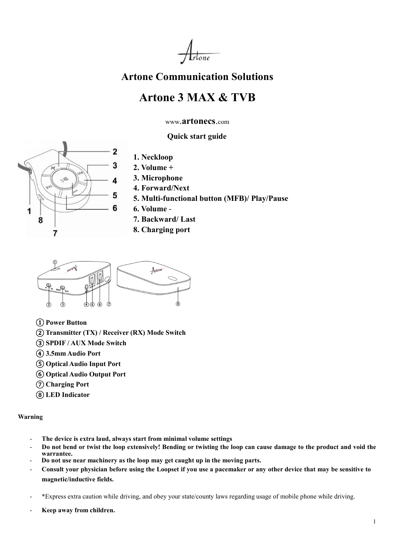

## Artone Communication Solutions

# Artone 3 MAX & TVB

www.artonecs.com

Quick start guide



- 1. Neckloop
- 2. Volume +
- 3. Microphone
- 4. Forward/Next
- 5. Multi-functional button (MFB)/ Play/Pause
- 6. Volume -
- 7. Backward/ Last
- 8. Charging port



① Power Button

- ②Transmitter (TX) / Receiver (RX) Mode Switch
- ③ SPDIF / AUX Mode Switch
- ④ 3.5mm Audio Port
- ⑤ Optical Audio Input Port
- ⑥ Optical Audio Output Port
- ⑦ Charging Port
- ⑧ LED Indicator

#### Warning

- The device is extra laud, always start from minimal volume settings
- Do not bend or twist the loop extensively! Bending or twisting the loop can cause damage to the product and void the warrantee.
- Do not use near machinery as the loop may get caught up in the moving parts.
- Consult your physician before using the Loopset if you use a pacemaker or any other device that may be sensitive to magnetic/inductive fields.
- \*Express extra caution while driving, and obey your state/county laws regarding usage of mobile phone while driving.
- Keep away from children.